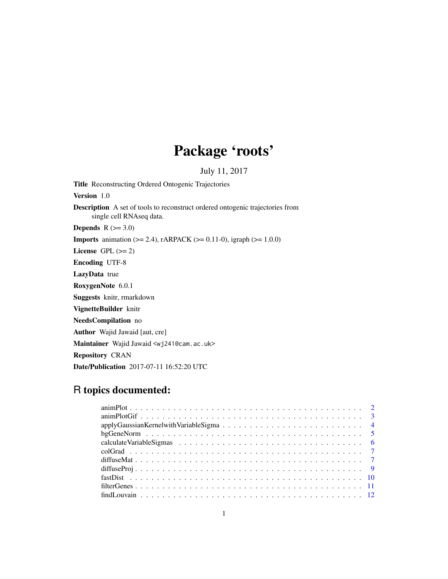# Package 'roots'

July 11, 2017

Title Reconstructing Ordered Ontogenic Trajectories Version 1.0 Description A set of tools to reconstruct ordered ontogenic trajectories from single cell RNAseq data. **Depends**  $R$  ( $>= 3.0$ ) **Imports** animation ( $>= 2.4$ ), rARPACK ( $>= 0.11$ -0), igraph ( $>= 1.0.0$ ) License GPL  $(>= 2)$ Encoding UTF-8 LazyData true RoxygenNote 6.0.1 Suggests knitr, rmarkdown VignetteBuilder knitr NeedsCompilation no Author Wajid Jawaid [aut, cre] Maintainer Wajid Jawaid <wj241@cam.ac.uk> Repository CRAN Date/Publication 2017-07-11 16:52:20 UTC

# R topics documented: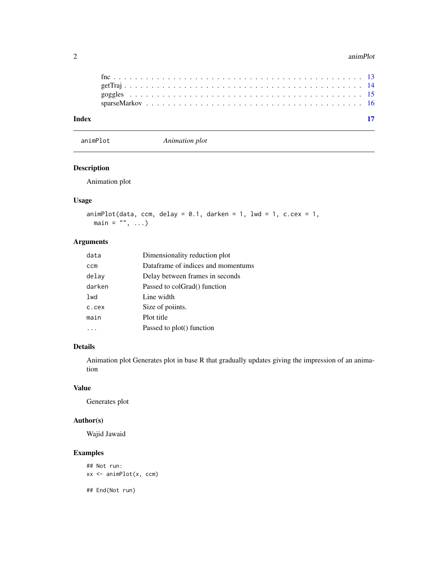#### <span id="page-1-0"></span>2 animPlot

| Index |  |  |  |  |  |
|-------|--|--|--|--|--|
|       |  |  |  |  |  |
|       |  |  |  |  |  |
|       |  |  |  |  |  |
|       |  |  |  |  |  |

animPlot *Animation plot*

# Description

Animation plot

# Usage

```
animPlot(data, ccm, delay = 0.1, darken = 1, lwd = 1, c.cex = 1,
 main = ", ...)
```
# Arguments

| data       | Dimensionality reduction plot      |
|------------|------------------------------------|
| <b>CCM</b> | Dataframe of indices and momentums |
| delay      | Delay between frames in seconds    |
| darken     | Passed to colGrad() function       |
| lwd        | Line width                         |
| c.cex      | Size of poiints.                   |
| main       | Plot title                         |
|            | Passed to plot() function          |

# Details

Animation plot Generates plot in base R that gradually updates giving the impression of an animation

#### Value

Generates plot

#### Author(s)

Wajid Jawaid

# Examples

```
## Not run:
xx <- animPlot(x, ccm)
```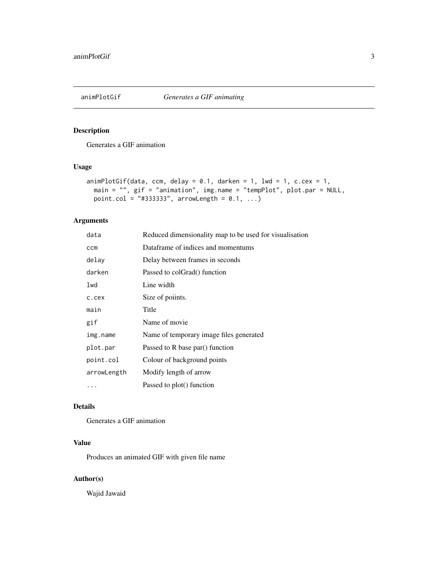<span id="page-2-0"></span>

Generates a GIF animation

# Usage

```
animPlotGif(data, com, delay = 0.1, dark = 1, lwd = 1, c.cex = 1,main = "", gif = "animation", img.name = "tempPlot", plot.par = NULL,
 point.col = "#333333", arrowLength = 0.1, ...)
```
# Arguments

| data        | Reduced dimensionality map to be used for visualisation |
|-------------|---------------------------------------------------------|
| ccm         | Dataframe of indices and momentums                      |
| delay       | Delay between frames in seconds                         |
| darken      | Passed to colGrad() function                            |
| lwd         | Line width                                              |
| c.cex       | Size of poiints.                                        |
| main        | Title                                                   |
| gif         | Name of movie                                           |
| img.name    | Name of temporary image files generated                 |
| plot.par    | Passed to R base par() function                         |
| point.col   | Colour of background points                             |
| arrowLength | Modify length of arrow                                  |
| .           | Passed to plot() function                               |

# Details

Generates a GIF animation

# Value

Produces an animated GIF with given file name

#### Author(s)

Wajid Jawaid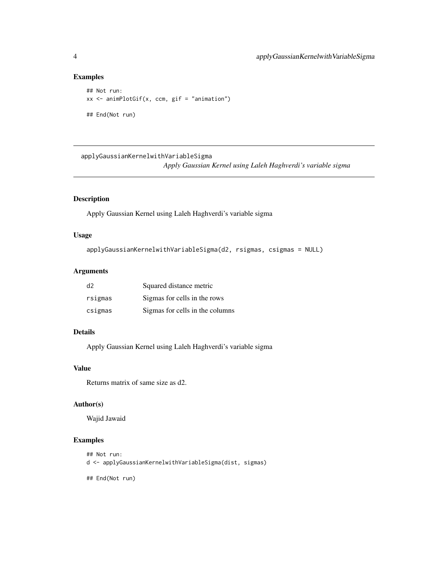# Examples

```
## Not run:
xx \le animPlotGif(x, ccm, gif = "animation")
## End(Not run)
```
applyGaussianKernelwithVariableSigma *Apply Gaussian Kernel using Laleh Haghverdi's variable sigma*

# Description

Apply Gaussian Kernel using Laleh Haghverdi's variable sigma

#### Usage

```
applyGaussianKernelwithVariableSigma(d2, rsigmas, csigmas = NULL)
```
# Arguments

| d <sub>2</sub> | Squared distance metric         |
|----------------|---------------------------------|
| rsigmas        | Sigmas for cells in the rows    |
| csigmas        | Sigmas for cells in the columns |

#### Details

Apply Gaussian Kernel using Laleh Haghverdi's variable sigma

#### Value

Returns matrix of same size as d2.

#### Author(s)

Wajid Jawaid

#### Examples

```
## Not run:
d <- applyGaussianKernelwithVariableSigma(dist, sigmas)
```
<span id="page-3-0"></span>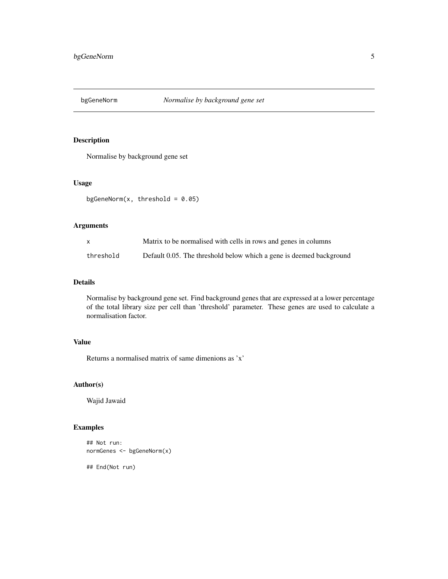<span id="page-4-0"></span>

Normalise by background gene set

#### Usage

bgGeneNorm $(x, threshold = 0.05)$ 

# Arguments

| $\mathsf{X}$ | Matrix to be normalised with cells in rows and genes in columns     |
|--------------|---------------------------------------------------------------------|
| threshold    | Default 0.05. The threshold below which a gene is deemed background |

# Details

Normalise by background gene set. Find background genes that are expressed at a lower percentage of the total library size per cell than 'threshold' parameter. These genes are used to calculate a normalisation factor.

#### Value

Returns a normalised matrix of same dimenions as 'x'

# Author(s)

Wajid Jawaid

# Examples

```
## Not run:
normGenes <- bgGeneNorm(x)
```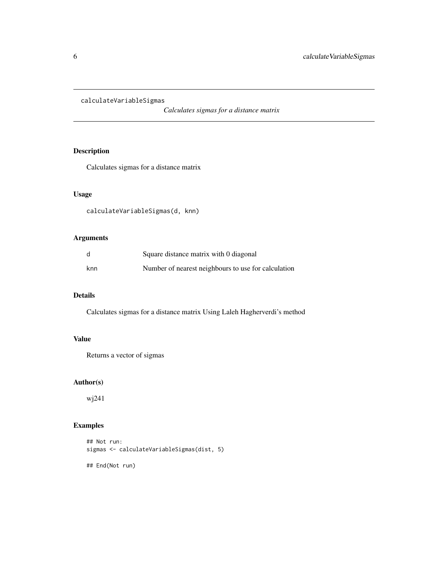<span id="page-5-0"></span>calculateVariableSigmas

*Calculates sigmas for a distance matrix*

# Description

Calculates sigmas for a distance matrix

#### Usage

calculateVariableSigmas(d, knn)

# Arguments

|     | Square distance matrix with 0 diagonal              |
|-----|-----------------------------------------------------|
| knn | Number of nearest neighbours to use for calculation |

# Details

Calculates sigmas for a distance matrix Using Laleh Hagherverdi's method

# Value

Returns a vector of sigmas

#### Author(s)

wj241

# Examples

```
## Not run:
sigmas <- calculateVariableSigmas(dist, 5)
```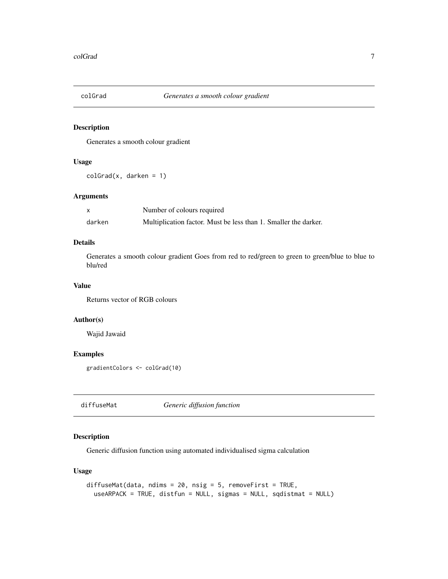<span id="page-6-0"></span>

Generates a smooth colour gradient

#### Usage

 $colGrad(x, darken = 1)$ 

#### Arguments

|        | Number of colours required                                      |
|--------|-----------------------------------------------------------------|
| darken | Multiplication factor. Must be less than 1. Smaller the darker. |

#### Details

Generates a smooth colour gradient Goes from red to red/green to green to green/blue to blue to blu/red

#### Value

Returns vector of RGB colours

#### Author(s)

Wajid Jawaid

#### Examples

gradientColors <- colGrad(10)

diffuseMat *Generic diffusion function*

# Description

Generic diffusion function using automated individualised sigma calculation

# Usage

```
diffuseMat(data, ndims = 20, nsig = 5, removeFirst = TRUE,
  useARPACK = TRUE, distfun = NULL, sigmas = NULL, sqdistmat = NULL)
```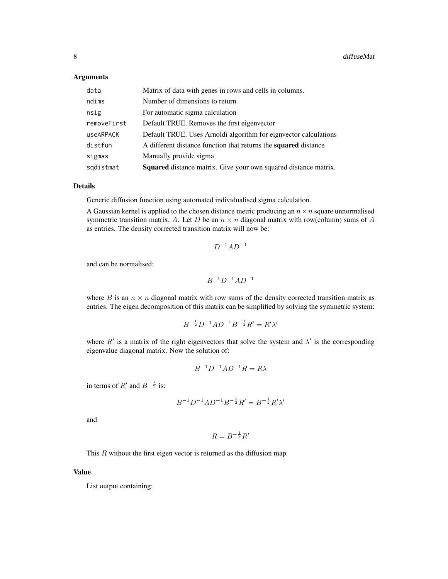#### Arguments

| data        | Matrix of data with genes in rows and cells in columns.                |
|-------------|------------------------------------------------------------------------|
| ndims       | Number of dimensions to return                                         |
| nsig        | For automatic sigma calculation                                        |
| removeFirst | Default TRUE. Removes the first eigenvector                            |
| useARPACK   | Default TRUE. Uses Arnoldi algorithm for eignvector calculations       |
| distfun     | A different distance function that returns the <b>squared</b> distance |
| sigmas      | Manually provide sigma                                                 |
| sqdistmat   | Squared distance matrix. Give your own squared distance matrix.        |

#### Details

Generic diffusion function using automated individualised sigma calculation.

A Gaussian kernel is applied to the chosen distance metric producing an  $n \times n$  square unnormalised symmetric transition matrix, A. Let D be an  $n \times n$  diagonal matrix with row(column) sums of A as entries. The density corrected transition matrix will now be:

$$
D^{-1}AD^{-1}
$$

and can be normalised:

$$
B^{-1}D^{-1}AD^{-1}
$$

where B is an  $n \times n$  diagonal matrix with row sums of the density corrected transition matrix as entries. The eigen decomposition of this matrix can be simplified by solving the symmetric system:

$$
B^{-\frac{1}{2}}D^{-1}AD^{-1}B^{-\frac{1}{2}}R' = R'\lambda'
$$

where  $R'$  is a matrix of the right eigenvectors that solve the system and  $\lambda'$  is the corresponding eigenvalue diagonal matrix. Now the solution of:

$$
B^{-1}D^{-1}AD^{-1}R = R\lambda
$$

in terms of  $R'$  and  $B^{-\frac{1}{2}}$  is:

$$
B^{-1}D^{-1}AD^{-1}B^{-\frac{1}{2}}R' = B^{-\frac{1}{2}}R'\lambda'
$$

and

$$
R = B^{-\frac{1}{2}}R'
$$

This R without the first eigen vector is returned as the diffusion map.

#### Value

List output containing: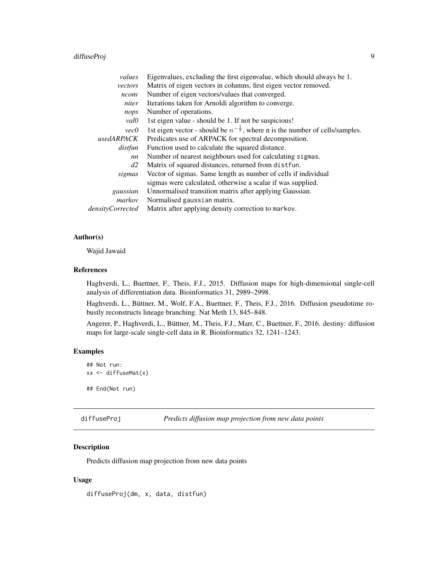# <span id="page-8-0"></span>diffuseProj 9

| Eigenvalues, excluding the first eigenvalue, which should always be 1.                    |
|-------------------------------------------------------------------------------------------|
| Matrix of eigen vectors in columns, first eigen vector removed.                           |
| Number of eigen vectors/values that converged.                                            |
| Iterations taken for Arnoldi algorithm to converge.                                       |
| Number of operations.                                                                     |
| 1st eigen value - should be 1. If not be suspicious!                                      |
| 1st eigen vector - should be $n^{-\frac{1}{2}}$ , where n is the number of cells/samples. |
| Predicates use of ARPACK for spectral decomposition.                                      |
| Function used to calculate the squared distance.                                          |
| Number of nearest neighbours used for calculating sigmas.                                 |
| Matrix of squared distances, returned from dist fun.                                      |
| Vector of sigmas. Same length as number of cells if individual                            |
| sigmas were calculated, otherwise a scalar if was supplied.                               |
| Unnormalised transition matrix after applying Gaussian.                                   |
| Normalised gaussian matrix.                                                               |
| Matrix after applying density correction to markov.                                       |
|                                                                                           |

# Author(s)

Wajid Jawaid

#### References

Haghverdi, L., Buettner, F., Theis, F.J., 2015. Diffusion maps for high-dimensional single-cell analysis of differentiation data. Bioinformatics 31, 2989–2998.

Haghverdi, L., Büttner, M., Wolf, F.A., Buettner, F., Theis, F.J., 2016. Diffusion pseudotime robustly reconstructs lineage branching. Nat Meth 13, 845–848.

Angerer, P., Haghverdi, L., Büttner, M., Theis, F.J., Marr, C., Buettner, F., 2016. destiny: diffusion maps for large-scale single-cell data in R. Bioinformatics 32, 1241–1243.

# Examples

```
## Not run:
xx <- diffuseMat(x)
## End(Not run)
```

```
diffuseProj Predicts diffusion map projection from new data points
```
#### Description

Predicts diffusion map projection from new data points

#### Usage

diffuseProj(dm, x, data, distfun)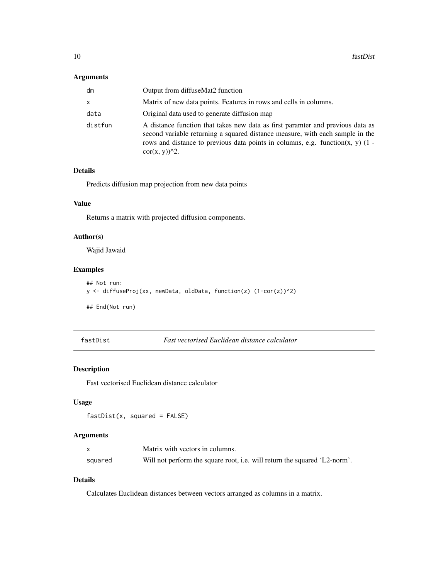#### <span id="page-9-0"></span>Arguments

| dm      | Output from diffuseMat2 function                                                                                                                                                                                                                                                                     |
|---------|------------------------------------------------------------------------------------------------------------------------------------------------------------------------------------------------------------------------------------------------------------------------------------------------------|
| x       | Matrix of new data points. Features in rows and cells in columns.                                                                                                                                                                                                                                    |
| data    | Original data used to generate diffusion map                                                                                                                                                                                                                                                         |
| distfun | A distance function that takes new data as first paramter and previous data as<br>second variable returning a squared distance measure, with each sample in the<br>rows and distance to previous data points in columns, e.g. function $(x, y)$ (1 -<br>$cor(x, y)$ <sup><math>\wedge</math>2.</sup> |

#### Details

Predicts diffusion map projection from new data points

#### Value

Returns a matrix with projected diffusion components.

# Author(s)

Wajid Jawaid

# Examples

```
## Not run:
y <- diffuseProj(xx, newData, oldData, function(z) (1-cor(z))^2)
## End(Not run)
```
fastDist *Fast vectorised Euclidean distance calculator*

# Description

Fast vectorised Euclidean distance calculator

#### Usage

```
fastDist(x, squared = FALSE)
```
#### Arguments

|         | Matrix with vectors in columns.                                           |
|---------|---------------------------------------------------------------------------|
| squared | Will not perform the square root, i.e. will return the squared 'L2-norm'. |

# Details

Calculates Euclidean distances between vectors arranged as columns in a matrix.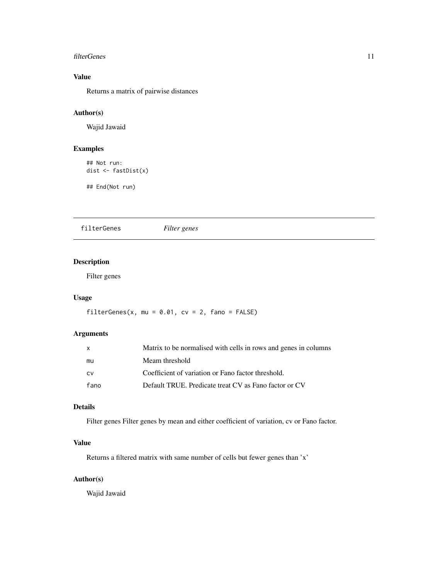#### <span id="page-10-0"></span>filterGenes 11

# Value

Returns a matrix of pairwise distances

# Author(s)

Wajid Jawaid

# Examples

```
## Not run:
dist <- fastDist(x)
```
## End(Not run)

filterGenes *Filter genes*

# Description

Filter genes

# Usage

filterGenes(x, mu =  $0.01$ , cv =  $2$ , fano = FALSE)

# Arguments

| X    | Matrix to be normalised with cells in rows and genes in columns |  |
|------|-----------------------------------------------------------------|--|
| mu   | Meam threshold                                                  |  |
| CV   | Coefficient of variation or Fano factor threshold.              |  |
| fano | Default TRUE. Predicate treat CV as Fano factor or CV           |  |

# Details

Filter genes Filter genes by mean and either coefficient of variation, cv or Fano factor.

# Value

Returns a filtered matrix with same number of cells but fewer genes than 'x'

#### Author(s)

Wajid Jawaid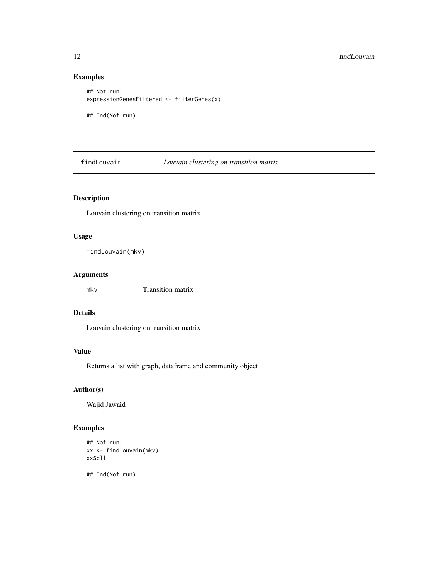# Examples

```
## Not run:
expressionGenesFiltered <- filterGenes(x)
## End(Not run)
```
findLouvain *Louvain clustering on transition matrix*

# Description

Louvain clustering on transition matrix

# Usage

findLouvain(mkv)

#### Arguments

mkv Transition matrix

#### Details

Louvain clustering on transition matrix

#### Value

Returns a list with graph, dataframe and community object

# Author(s)

Wajid Jawaid

# Examples

```
## Not run:
xx <- findLouvain(mkv)
xx$cll
```
<span id="page-11-0"></span>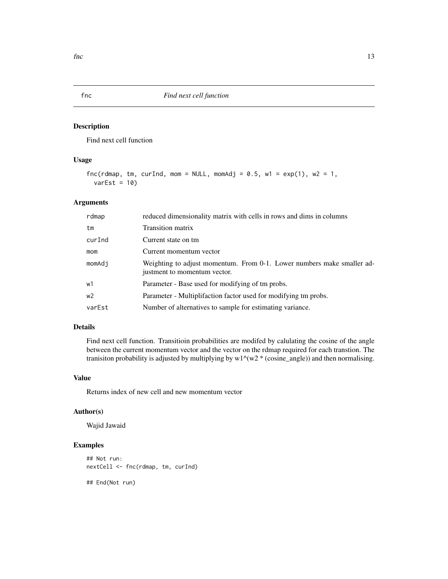Find next cell function

#### Usage

```
fnc(rdmap, tm, curInd, mom = NULL, momAdj = 0.5, w1 = exp(1), w2 = 1,
  varEst = 10
```
#### Arguments

| rdmap          | reduced dimensionality matrix with cells in rows and dims in columns                                   |
|----------------|--------------------------------------------------------------------------------------------------------|
| tm             | Transition matrix                                                                                      |
| curInd         | Current state on tm                                                                                    |
| mom            | Current momentum vector                                                                                |
| momAdi         | Weighting to adjust momentum. From 0-1. Lower numbers make smaller ad-<br>justment to momentum vector. |
| w1             | Parameter - Base used for modifying of tm probs.                                                       |
| w <sub>2</sub> | Parameter - Multiplifaction factor used for modifying tm probs.                                        |
| varEst         | Number of alternatives to sample for estimating variance.                                              |

# Details

Find next cell function. Transitioin probabilities are modifed by calulating the cosine of the angle between the current momentum vector and the vector on the rdmap required for each transtion. The tranisiton probability is adjusted by multiplying by  $w1^{\wedge}(w2 * (cosine\_angle))$  and then normalising.

#### Value

Returns index of new cell and new momentum vector

#### Author(s)

Wajid Jawaid

# Examples

## Not run: nextCell <- fnc(rdmap, tm, curInd)

<span id="page-12-0"></span>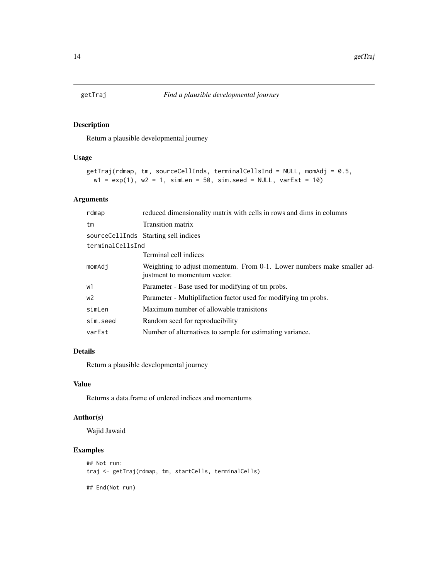<span id="page-13-0"></span>

Return a plausible developmental journey

# Usage

```
getTraj(rdmap, tm, sourceCellInds, terminalCellsInd = NULL, momAdj = 0.5,
 w1 = exp(1), w2 = 1, simLen = 50, sim.seed = NULL, varEst = 10)
```
# Arguments

| rdmap            | reduced dimensionality matrix with cells in rows and dims in columns                                   |  |  |
|------------------|--------------------------------------------------------------------------------------------------------|--|--|
| tm               | Transition matrix                                                                                      |  |  |
|                  | sourceCellInds Starting sell indices                                                                   |  |  |
| terminalCellsInd |                                                                                                        |  |  |
|                  | Terminal cell indices                                                                                  |  |  |
| momAdi           | Weighting to adjust momentum. From 0-1. Lower numbers make smaller ad-<br>justment to momentum vector. |  |  |
| w1               | Parameter - Base used for modifying of tm probs.                                                       |  |  |
| w2               | Parameter - Multiplifaction factor used for modifying tm probs.                                        |  |  |
| simLen           | Maximum number of allowable tranisitons                                                                |  |  |
| sim.seed         | Random seed for reproducibility                                                                        |  |  |
| varEst           | Number of alternatives to sample for estimating variance.                                              |  |  |

# Details

Return a plausible developmental journey

#### Value

Returns a data.frame of ordered indices and momentums

#### Author(s)

Wajid Jawaid

# Examples

```
## Not run:
traj <- getTraj(rdmap, tm, startCells, terminalCells)
## End(Not run)
```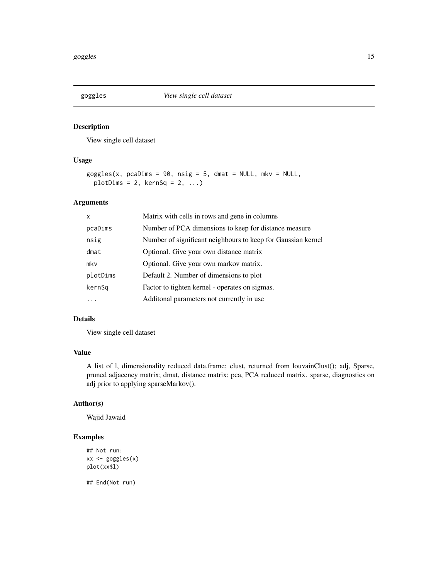<span id="page-14-0"></span>

View single cell dataset

# Usage

```
goggles(x, pcaDims = 90, nsig = 5, dmat = NULL, mkv = NULL,
 plotDims = 2, kernSq = 2, ...
```
# Arguments

| X        | Matrix with cells in rows and gene in columns                |
|----------|--------------------------------------------------------------|
| pcaDims  | Number of PCA dimensions to keep for distance measure        |
| nsig     | Number of significant neighbours to keep for Gaussian kernel |
| dmat     | Optional. Give your own distance matrix                      |
| mkv      | Optional. Give your own markov matrix.                       |
| plotDims | Default 2. Number of dimensions to plot                      |
| kernSq   | Factor to tighten kernel - operates on sigmas.               |
|          | Additional parameters not currently in use                   |

#### Details

View single cell dataset

# Value

A list of l, dimensionality reduced data.frame; clust, returned from louvainClust(); adj, Sparse, pruned adjacency matrix; dmat, distance matrix; pca, PCA reduced matrix. sparse, diagnostics on adj prior to applying sparseMarkov().

#### Author(s)

Wajid Jawaid

# Examples

```
## Not run:
xx <- goggles(x)
plot(xx$l)
```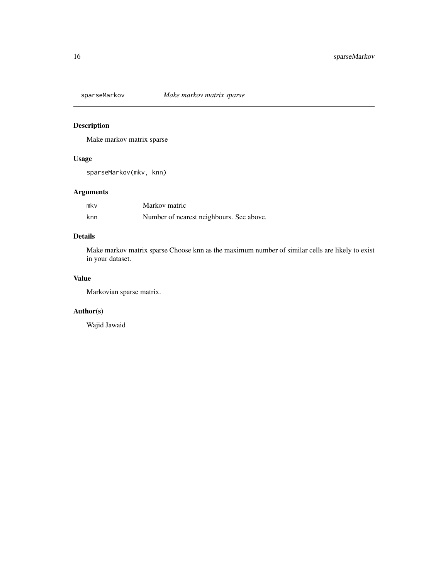<span id="page-15-0"></span>

Make markov matrix sparse

# Usage

sparseMarkov(mkv, knn)

# Arguments

| mkv | Markov matric                            |  |
|-----|------------------------------------------|--|
| knn | Number of nearest neighbours. See above. |  |

# Details

Make markov matrix sparse Choose knn as the maximum number of similar cells are likely to exist in your dataset.

# Value

Markovian sparse matrix.

# Author(s)

Wajid Jawaid